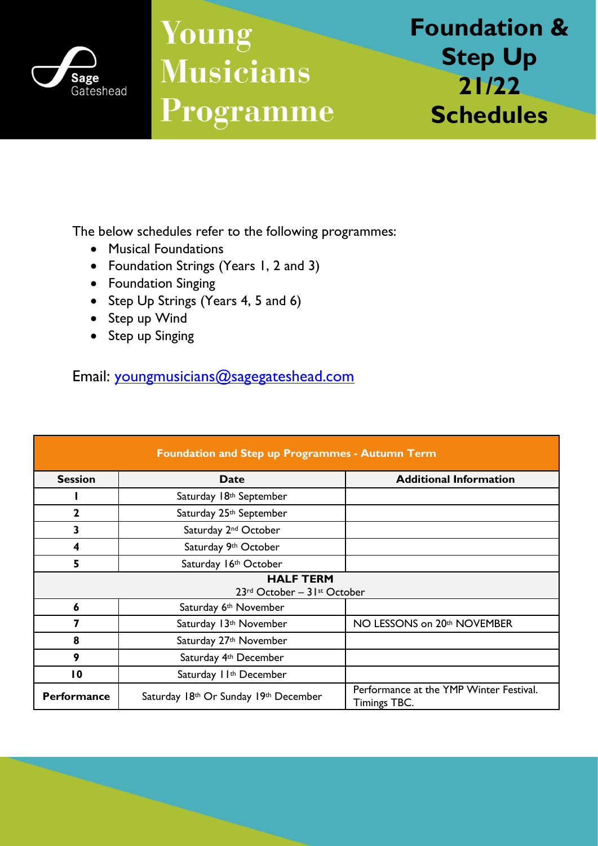

## **Young Musicians** Programme

**Foundation & Step Up 21/22 Schedules**

The below schedules refer to the following programmes:

- Musical Foundations
- Foundation Strings (Years 1, 2 and 3)
- Foundation Singing
- Step Up Strings (Years 4, 5 and 6)
- Step up Wind
- Step up Singing

Email: [youngmusicians@sagegateshead.com](mailto:youngmusicians@sagegateshead.com)

| <b>Foundation and Step up Programmes - Autumn Term</b> |                                       |                                                                |  |  |
|--------------------------------------------------------|---------------------------------------|----------------------------------------------------------------|--|--|
| <b>Session</b>                                         | <b>Date</b>                           | <b>Additional Information</b>                                  |  |  |
|                                                        | Saturday 18th September               |                                                                |  |  |
| $\overline{2}$                                         | Saturday 25th September               |                                                                |  |  |
| 3                                                      | Saturday 2 <sup>nd</sup> October      |                                                                |  |  |
| 4                                                      | Saturday 9th October                  |                                                                |  |  |
| 5                                                      | Saturday 16th October                 |                                                                |  |  |
| <b>HALF TERM</b><br>23rd October - 31st October        |                                       |                                                                |  |  |
| 6                                                      | Saturday 6 <sup>th</sup> November     |                                                                |  |  |
|                                                        | Saturday 13th November                | NO LESSONS on 20th NOVEMBER                                    |  |  |
| 8                                                      | Saturday 27th November                |                                                                |  |  |
| 9                                                      | Saturday 4 <sup>th</sup> December     |                                                                |  |  |
| $\overline{10}$                                        | Saturday II <sup>th</sup> December    |                                                                |  |  |
| <b>Performance</b>                                     | Saturday 18th Or Sunday 19th December | Performance at the YMP Winter Festival.<br><b>Timings TBC.</b> |  |  |